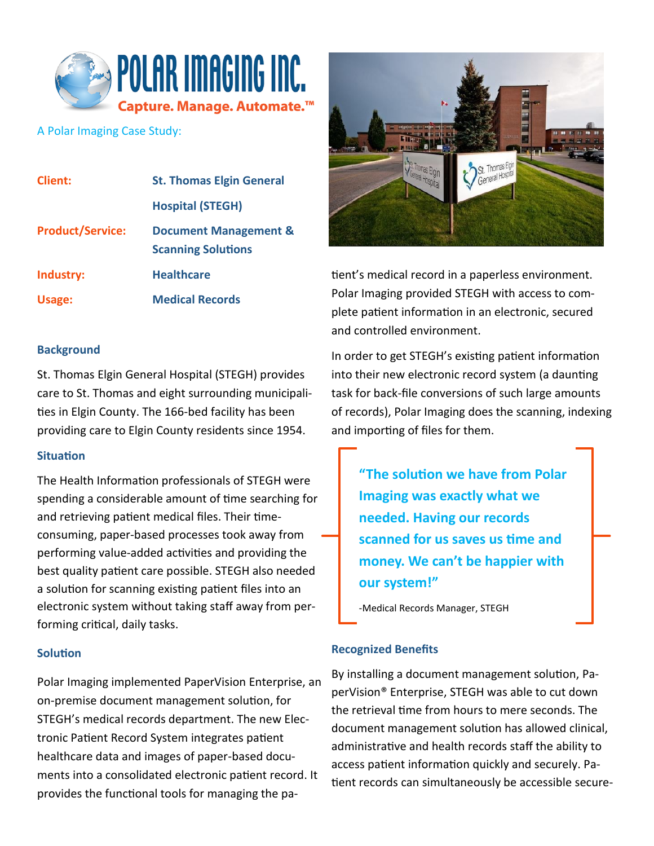

A Polar Imaging Case Study:

| <b>Client:</b>          | <b>St. Thomas Elgin General</b>                               |
|-------------------------|---------------------------------------------------------------|
|                         | <b>Hospital (STEGH)</b>                                       |
| <b>Product/Service:</b> | <b>Document Management &amp;</b><br><b>Scanning Solutions</b> |
| Industry:               | <b>Healthcare</b>                                             |
| Usage:                  | <b>Medical Records</b>                                        |

# **Background**

St. Thomas Elgin General Hospital (STEGH) provides care to St. Thomas and eight surrounding municipalities in Elgin County. The 166-bed facility has been providing care to Elgin County residents since 1954.

# **Situation**

The Health Information professionals of STEGH were spending a considerable amount of time searching for and retrieving patient medical files. Their timeconsuming, paper-based processes took away from performing value-added activities and providing the best quality patient care possible. STEGH also needed a solution for scanning existing patient files into an electronic system without taking staff away from performing critical, daily tasks.

# **Solution**

Polar Imaging implemented PaperVision Enterprise, an on-premise document management solution, for STEGH's medical records department. The new Electronic Patient Record System integrates patient healthcare data and images of paper-based documents into a consolidated electronic patient record. It provides the functional tools for managing the pa-



tient's medical record in a paperless environment. Polar Imaging provided STEGH with access to complete patient information in an electronic, secured and controlled environment.

In order to get STEGH's existing patient information into their new electronic record system (a daunting task for back-file conversions of such large amounts of records), Polar Imaging does the scanning, indexing and importing of files for them.

**"The solution we have from Polar Imaging was exactly what we needed. Having our records scanned for us saves us time and money. We can't be happier with our system!"** 

-Medical Records Manager, STEGH

# **Recognized Benefits**

By installing a document management solution, [Pa](http://www.polarimaging.ca/wp-content/uploads/2012/06/PaperVisionEnterprise.pdf)[perVision® Enterprise,](http://www.polarimaging.ca/wp-content/uploads/2012/06/PaperVisionEnterprise.pdf) STEGH was able to cut down the retrieval time from hours to mere seconds. The document management solution has allowed clinical, administrative and health records staff the ability to access patient information quickly and securely. Patient records can simultaneously be accessible secure